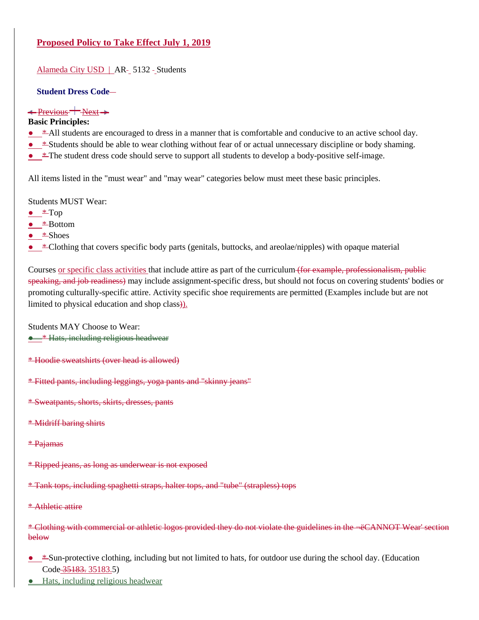[Alameda City USD](http://www.gamutonline.net/district/alameda/) | AR- 5132 - Students

### **Student Dress Code**

#### $\longrightarrow$  Previous  $\longrightarrow$  Next  $\rightarrow$

#### **Basic Principles:**

- $\bullet$  \*-All students are encouraged to dress in a manner that is comfortable and conducive to an active school day.
- \*Students should be able to wear clothing without fear of or actual unnecessary discipline or body shaming.
- $\pm$ The student dress code should serve to support all students to develop a body-positive self-image.

All items listed in the "must wear" and "may wear" categories below must meet these basic principles.

Students MUST Wear:

- $\bullet$  \* Top
- **\*Bottom**
- $\bullet \quad *$ Shoes
- $\bullet$   $\bullet$   $\bullet$  Clothing that covers specific body parts (genitals, buttocks, and areolae/nipples) with opaque material

Courses or specific class activities that include attire as part of the curriculum (for example, professionalism, public speaking, and job readiness) may include assignment-specific dress, but should not focus on covering students' bodies or promoting culturally-specific attire. Activity specific shoe requirements are permitted (Examples include but are not limited to physical education and shop class)).

Students MAY Choose to Wear:

● \* Hats, including religious headwear

- \* Hoodie sweatshirts (over head is allowed)
- \* Fitted pants, including leggings, yoga pants and "skinny jeans"
- \* Sweatpants, shorts, skirts, dresses, pants
- \* Midriff baring shirts
- \* Pajamas
- \* Ripped jeans, as long as underwear is not exposed

\* Tank tops, including spaghetti straps, halter tops, and "tube" (strapless) tops

\* Athletic attire

\* Clothing with commercial or athletic logos provided they do not violate the guidelines in the 'CANNOT Wear' section below

- \* Sun-protective clothing, including but not limited to hats, for outdoor use during the school day. (Education Code 35183. [35183.5](http://www.gamutonline.net/district/alameda/displayPolicy/249119/5))
- Hats, including religious headwear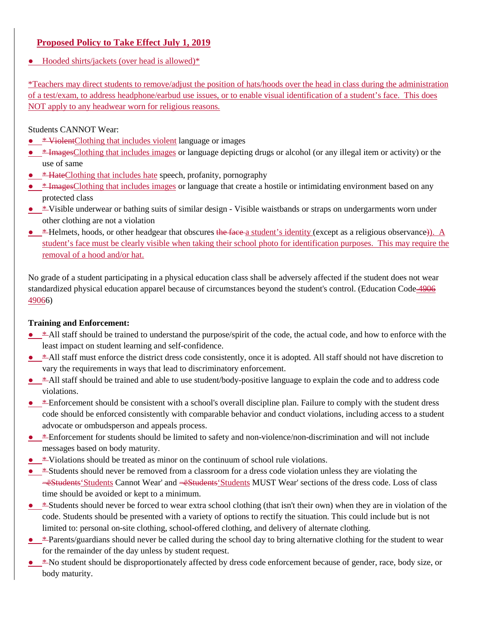● Hooded shirts/jackets (over head is allowed)\*

\*Teachers may direct students to remove/adjust the position of hats/hoods over the head in class during the administration of a test/exam, to address headphone/earbud use issues, or to enable visual identification of a student's face. This does NOT apply to any headwear worn for religious reasons.

Students CANNOT Wear:

- \* ViolentClothing that includes violent language or images
- *\** ImagesClothing that includes images or language depicting drugs or alcohol (or any illegal item or activity) or the use of same
- **\* HateClothing that includes hate speech, profanity, pornography**
- $\bullet$   $*$  ImagesClothing that includes images or language that create a hostile or intimidating environment based on any protected class
- \* Visible underwear or bathing suits of similar design Visible waistbands or straps on undergarments worn under other clothing are not a violation
- \* Helmets, hoods, or other headgear that obscures the face a student's identity (except as a religious observance)). A student's face must be clearly visible when taking their school photo for identification purposes. This may require the removal of a hood and/or hat.

No grade of a student participating in a physical education class shall be adversely affected if the student does not wear standardized physical education apparel because of circumstances beyond the student's control. (Education Code 490[6](http://www.gamutonline.net/district/alameda/displayPolicy/132284/5) [49066](http://www.gamutonline.net/district/alameda/displayPolicy/132284/5))

# **Training and Enforcement:**

- \* All staff should be trained to understand the purpose/spirit of the code, the actual code, and how to enforce with the least impact on student learning and self-confidence.
- \* All staff must enforce the district dress code consistently, once it is adopted. All staff should not have discretion to vary the requirements in ways that lead to discriminatory enforcement.
- $\bullet$  \*-All staff should be trained and able to use student/body-positive language to explain the code and to address code violations.
- \* Enforcement should be consistent with a school's overall discipline plan. Failure to comply with the student dress code should be enforced consistently with comparable behavior and conduct violations, including access to a student advocate or ombudsperson and appeals process.
- \* Enforcement for students should be limited to safety and non-violence/non-discrimination and will not include messages based on body maturity.
- $\bullet$  \*Violations should be treated as minor on the continuum of school rule violations.
- \*Students should never be removed from a classroom for a dress code violation unless they are violating the  $\equiv$  EStudents' Students Cannot Wear' and  $\equiv$  EStudents' Students MUST Wear' sections of the dress code. Loss of class time should be avoided or kept to a minimum.
- \*Students should never be forced to wear extra school clothing (that isn't their own) when they are in violation of the code. Students should be presented with a variety of options to rectify the situation. This could include but is not limited to: personal on-site clothing, school-offered clothing, and delivery of alternate clothing.
- \*Parents/guardians should never be called during the school day to bring alternative clothing for the student to wear for the remainder of the day unless by student request.
- $\bullet$   $*$ No student should be disproportionately affected by dress code enforcement because of gender, race, body size, or body maturity.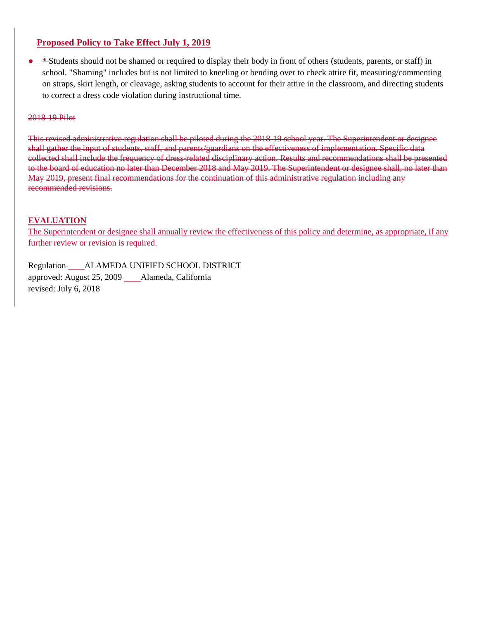• \*Students should not be shamed or required to display their body in front of others (students, parents, or staff) in school. "Shaming" includes but is not limited to kneeling or bending over to check attire fit, measuring/commenting on straps, skirt length, or cleavage, asking students to account for their attire in the classroom, and directing students to correct a dress code violation during instructional time.

#### 2018-19 Pilot

This revised administrative regulation shall be piloted during the 2018-19 school year. The Superintendent or designee shall gather the input of students, staff, and parents/guardians on the effectiveness of implementation. Specific data collected shall include the frequency of dress-related disciplinary action. Results and recommendations shall be presented to the board of education no later than December 2018 and May 2019. The Superintendent or designee shall, no later than May 2019, present final recommendations for the continuation of this administrative regulation including any recommended revisions.

# **EVALUATION**

The Superintendent or designee shall annually review the effectiveness of this policy and determine, as appropriate, if any further review or revision is required.

Regulation ALAMEDA UNIFIED SCHOOL DISTRICT approved: August 25, 2009-\_\_\_\_Alameda, California revised: July 6, 2018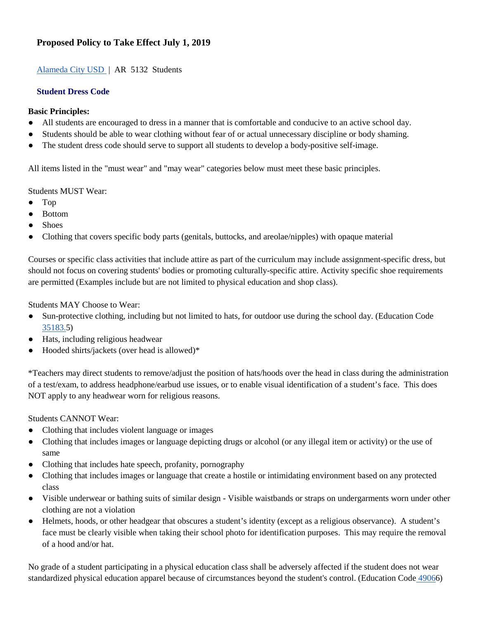# [Alameda City USD](http://www.gamutonline.net/district/alameda/) | AR 5132 Students

### **Student Dress Code**

#### **Basic Principles:**

- All students are encouraged to dress in a manner that is comfortable and conducive to an active school day.
- Students should be able to wear clothing without fear of or actual unnecessary discipline or body shaming.
- The student dress code should serve to support all students to develop a body-positive self-image.

All items listed in the "must wear" and "may wear" categories below must meet these basic principles.

#### Students MUST Wear:

- Top
- Bottom
- **Shoes**
- Clothing that covers specific body parts (genitals, buttocks, and areolae/nipples) with opaque material

Courses or specific class activities that include attire as part of the curriculum may include assignment-specific dress, but should not focus on covering students' bodies or promoting culturally-specific attire. Activity specific shoe requirements are permitted (Examples include but are not limited to physical education and shop class).

Students MAY Choose to Wear:

- Sun-protective clothing, including but not limited to hats, for outdoor use during the school day. (Education Cod[e](http://www.gamutonline.net/district/alameda/displayPolicy/249119/5) [35183.5](http://www.gamutonline.net/district/alameda/displayPolicy/249119/5))
- Hats, including religious headwear
- Hooded shirts/jackets (over head is allowed)\*

\*Teachers may direct students to remove/adjust the position of hats/hoods over the head in class during the administration of a test/exam, to address headphone/earbud use issues, or to enable visual identification of a student's face. This does NOT apply to any headwear worn for religious reasons.

# Students CANNOT Wear:

- Clothing that includes violent language or images
- Clothing that includes images or language depicting drugs or alcohol (or any illegal item or activity) or the use of same
- Clothing that includes hate speech, profanity, pornography
- Clothing that includes images or language that create a hostile or intimidating environment based on any protected class
- Visible underwear or bathing suits of similar design Visible waistbands or straps on undergarments worn under other clothing are not a violation
- Helmets, hoods, or other headgear that obscures a student's identity (except as a religious observance). A student's face must be clearly visible when taking their school photo for identification purposes. This may require the removal of a hood and/or hat.

No grade of a student participating in a physical education class shall be adversely affected if the student does not wear standardized physical education apparel because of circumstances beyond the student's control. (Education Code [49066](http://www.gamutonline.net/district/alameda/displayPolicy/132284/5))